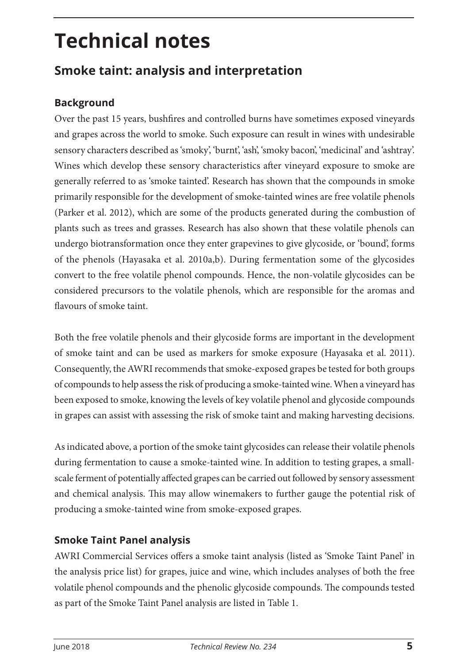# **Technical notes**

# **Smoke taint: analysis and interpretation**

## **Background**

Over the past 15 years, bushfires and controlled burns have sometimes exposed vineyards and grapes across the world to smoke. Such exposure can result in wines with undesirable sensory characters described as 'smoky', 'burnt', 'ash', 'smoky bacon', 'medicinal' and 'ashtray'. Wines which develop these sensory characteristics after vineyard exposure to smoke are generally referred to as 'smoke tainted'. Research has shown that the compounds in smoke primarily responsible for the development of smoke-tainted wines are free volatile phenols (Parker et al. 2012), which are some of the products generated during the combustion of plants such as trees and grasses. Research has also shown that these volatile phenols can undergo biotransformation once they enter grapevines to give glycoside, or 'bound', forms of the phenols (Hayasaka et al. 2010a,b). During fermentation some of the glycosides convert to the free volatile phenol compounds. Hence, the non-volatile glycosides can be considered precursors to the volatile phenols, which are responsible for the aromas and flavours of smoke taint.

Both the free volatile phenols and their glycoside forms are important in the development of smoke taint and can be used as markers for smoke exposure (Hayasaka et al. 2011). Consequently, the AWRI recommends that smoke-exposed grapes be tested for both groups of compounds to help assess the risk of producing a smoke-tainted wine. When a vineyard has been exposed to smoke, knowing the levels of key volatile phenol and glycoside compounds in grapes can assist with assessing the risk of smoke taint and making harvesting decisions.

As indicated above, a portion of the smoke taint glycosides can release their volatile phenols during fermentation to cause a smoke-tainted wine. In addition to testing grapes, a smallscale ferment of potentially affected grapes can be carried out followed by sensory assessment and chemical analysis. This may allow winemakers to further gauge the potential risk of producing a smoke-tainted wine from smoke-exposed grapes.

### **Smoke Taint Panel analysis**

AWRI Commercial Services offers a smoke taint analysis (listed as 'Smoke Taint Panel' in the analysis price list) for grapes, juice and wine, which includes analyses of both the free volatile phenol compounds and the phenolic glycoside compounds. The compounds tested as part of the Smoke Taint Panel analysis are listed in Table 1.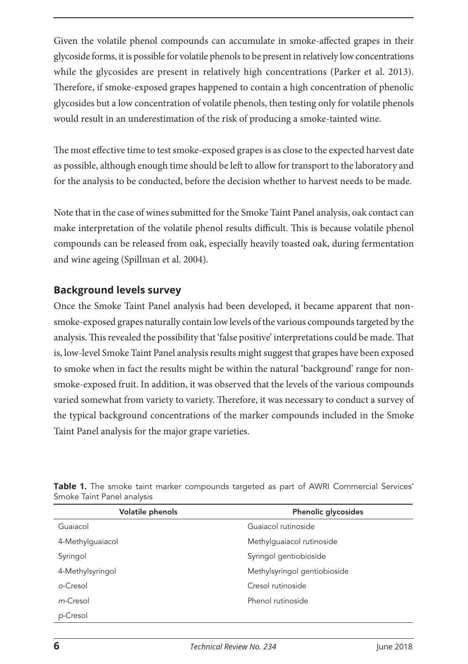Given the volatile phenol compounds can accumulate in smoke-affected grapes in their glycoside forms, it is possible for volatile phenols to be present in relatively low concentrations while the glycosides are present in relatively high concentrations (Parker et al. 2013). Therefore, if smoke-exposed grapes happened to contain a high concentration of phenolic glycosides but a low concentration of volatile phenols, then testing only for volatile phenols would result in an underestimation of the risk of producing a smoke-tainted wine.

The most effective time to test smoke-exposed grapes is as close to the expected harvest date as possible, although enough time should be left to allow for transport to the laboratory and for the analysis to be conducted, before the decision whether to harvest needs to be made.

Note that in the case of wines submitted for the Smoke Taint Panel analysis, oak contact can make interpretation of the volatile phenol results difficult. This is because volatile phenol compounds can be released from oak, especially heavily toasted oak, during fermentation and wine ageing (Spillman et al. 2004).

#### **Background levels survey**

Once the Smoke Taint Panel analysis had been developed, it became apparent that nonsmoke-exposed grapes naturally contain low levels of the various compounds targeted by the analysis. This revealed the possibility that 'false positive' interpretations could be made. That is, low-level Smoke Taint Panel analysis results might suggest that grapes have been exposed to smoke when in fact the results might be within the natural 'background' range for nonsmoke-exposed fruit. In addition, it was observed that the levels of the various compounds varied somewhat from variety to variety. Therefore, it was necessary to conduct a survey of the typical background concentrations of the marker compounds included in the Smoke Taint Panel analysis for the major grape varieties.

| Volatile phenols | Phenolic glycosides          |
|------------------|------------------------------|
| Guaiacol         | Guajacol rutinoside          |
| 4-Methylquaiacol | Methylguaiacol rutinoside    |
| Syringol         | Syringol gentiobioside       |
| 4-Methylsyringol | Methylsyringol gentiobioside |
| o-Cresol         | Cresol rutinoside            |
| m-Cresol         | Phenol rutinoside            |
| p-Cresol         |                              |

**Table 1.** The smoke taint marker compounds targeted as part of AWRI Commercial Services' Smoke Taint Panel analysis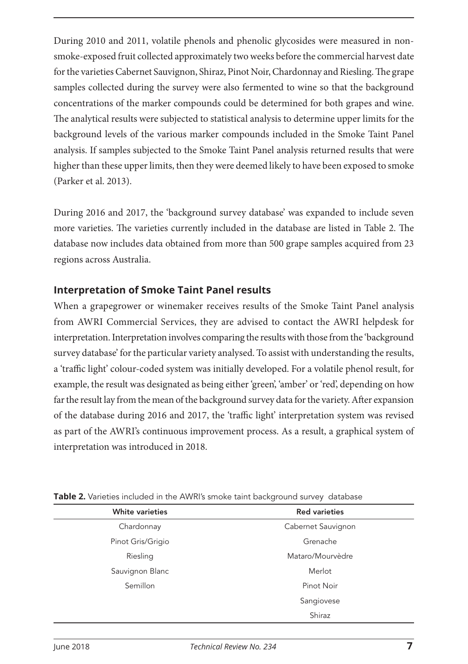During 2010 and 2011, volatile phenols and phenolic glycosides were measured in nonsmoke-exposed fruit collected approximately two weeks before the commercial harvest date for the varieties Cabernet Sauvignon, Shiraz, Pinot Noir, Chardonnay and Riesling. The grape samples collected during the survey were also fermented to wine so that the background concentrations of the marker compounds could be determined for both grapes and wine. The analytical results were subjected to statistical analysis to determine upper limits for the background levels of the various marker compounds included in the Smoke Taint Panel analysis. If samples subjected to the Smoke Taint Panel analysis returned results that were higher than these upper limits, then they were deemed likely to have been exposed to smoke (Parker et al. 2013).

During 2016 and 2017, the 'background survey database' was expanded to include seven more varieties. The varieties currently included in the database are listed in Table 2. The database now includes data obtained from more than 500 grape samples acquired from 23 regions across Australia.

#### **Interpretation of Smoke Taint Panel results**

When a grapegrower or winemaker receives results of the Smoke Taint Panel analysis from AWRI Commercial Services, they are advised to contact the AWRI helpdesk for interpretation. Interpretation involves comparing the results with those from the 'background survey database' for the particular variety analysed. To assist with understanding the results, a 'traffic light' colour-coded system was initially developed. For a volatile phenol result, for example, the result was designated as being either 'green', 'amber' or 'red', depending on how far the result lay from the mean of the background survey data for the variety. After expansion of the database during 2016 and 2017, the 'traffic light' interpretation system was revised as part of the AWRI's continuous improvement process. As a result, a graphical system of interpretation was introduced in 2018.

| <b>White varieties</b> | <b>Red varieties</b> |
|------------------------|----------------------|
| Chardonnay             | Cabernet Sauvignon   |
| Pinot Gris/Grigio      | Grenache             |
| Riesling               | Mataro/Mourvèdre     |
| Sauvignon Blanc        | Merlot               |
| Semillon               | Pinot Noir           |
|                        | Sangiovese           |
|                        | Shiraz               |

**Table 2.** Varieties included in the AWRI's smoke taint background survey database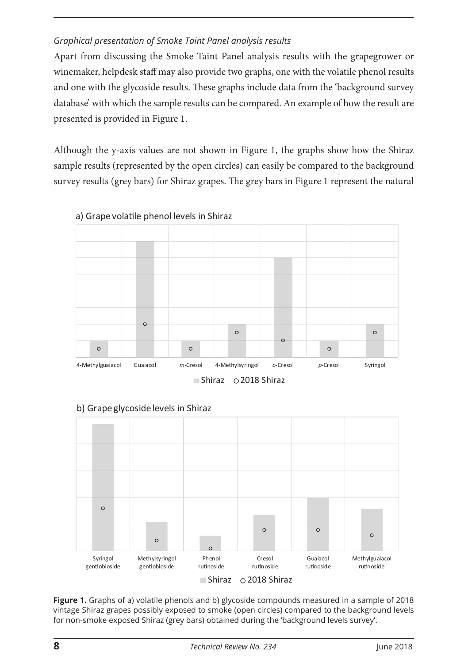#### *Graphical presentation of Smoke Taint Panel analysis results*

Apart from discussing the Smoke Taint Panel analysis results with the grapegrower or winemaker, helpdesk staff may also provide two graphs, one with the volatile phenol results and one with the glycoside results. These graphs include data from the 'background survey database' with which the sample results can be compared. An example of how the result are presented is provided in Figure 1.

Although the y-axis values are not shown in Figure 1, the graphs show how the Shiraz sample results (represented by the open circles) can easily be compared to the background survey results (grey bars) for Shiraz grapes. The grey bars in Figure 1 represent the natural







#### b) Grape glycoside levels in Shiraz

**Figure 1.** Graphs of a) volatile phenols and b) glycoside compounds measured in a sample of 2018 vintage Shiraz grapes possibly exposed to smoke (open circles) compared to the background levels for non-smoke exposed Shiraz (grey bars) obtained during the 'background levels survey'.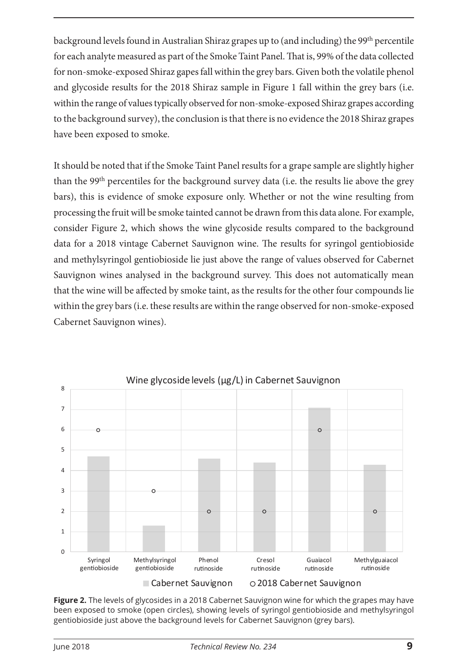background levels found in Australian Shiraz grapes up to (and including) the 99<sup>th</sup> percentile for each analyte measured as part of the Smoke Taint Panel. That is, 99% of the data collected for non-smoke-exposed Shiraz gapes fall within the grey bars. Given both the volatile phenol and glycoside results for the 2018 Shiraz sample in Figure 1 fall within the grey bars (i.e. within the range of values typically observed for non-smoke-exposed Shiraz grapes according to the background survey), the conclusion is that there is no evidence the 2018 Shiraz grapes have been exposed to smoke.

It should be noted that if the Smoke Taint Panel results for a grape sample are slightly higher than the 99th percentiles for the background survey data (i.e. the results lie above the grey bars), this is evidence of smoke exposure only. Whether or not the wine resulting from processing the fruit will be smoke tainted cannot be drawn from this data alone. For example, consider Figure 2, which shows the wine glycoside results compared to the background data for a 2018 vintage Cabernet Sauvignon wine. The results for syringol gentiobioside and methylsyringol gentiobioside lie just above the range of values observed for Cabernet Sauvignon wines analysed in the background survey. This does not automatically mean that the wine will be affected by smoke taint, as the results for the other four compounds lie within the grey bars (i.e. these results are within the range observed for non-smoke-exposed Cabernet Sauvignon wines).



**Figure 2.** The levels of glycosides in a 2018 Cabernet Sauvignon wine for which the grapes may have been exposed to smoke (open circles), showing levels of syringol gentiobioside and methylsyringol gentiobioside just above the background levels for Cabernet Sauvignon (grey bars).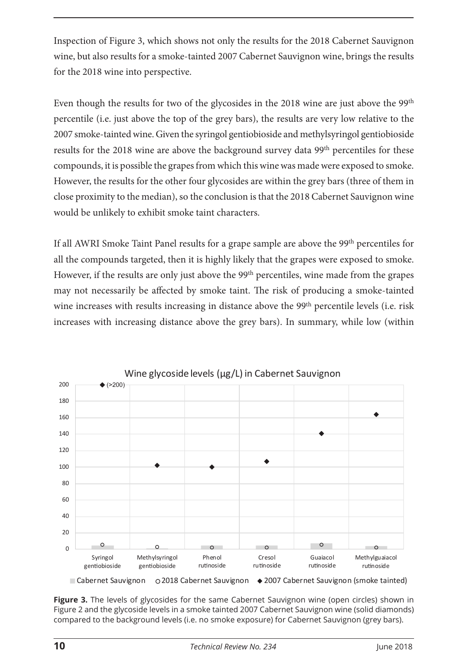Inspection of Figure 3, which shows not only the results for the 2018 Cabernet Sauvignon wine, but also results for a smoke-tainted 2007 Cabernet Sauvignon wine, brings the results for the 2018 wine into perspective.

Even though the results for two of the glycosides in the 2018 wine are just above the 99<sup>th</sup> percentile (i.e. just above the top of the grey bars), the results are very low relative to the 2007 smoke-tainted wine. Given the syringol gentiobioside and methylsyringol gentiobioside results for the 2018 wine are above the background survey data 99<sup>th</sup> percentiles for these compounds, it is possible the grapes from which this wine was made were exposed to smoke. However, the results for the other four glycosides are within the grey bars (three of them in close proximity to the median), so the conclusion is that the 2018 Cabernet Sauvignon wine would be unlikely to exhibit smoke taint characters.

If all AWRI Smoke Taint Panel results for a grape sample are above the 99th percentiles for all the compounds targeted, then it is highly likely that the grapes were exposed to smoke. However, if the results are only just above the 99<sup>th</sup> percentiles, wine made from the grapes may not necessarily be affected by smoke taint. The risk of producing a smoke-tainted wine increases with results increasing in distance above the 99<sup>th</sup> percentile levels (i.e. risk increases with increasing distance above the grey bars). In summary, while low (within



**Figure 3.** The levels of glycosides for the same Cabernet Sauvignon wine (open circles) shown in Figure 2 and the glycoside levels in a smoke tainted 2007 Cabernet Sauvignon wine (solid diamonds) compared to the background levels (i.e. no smoke exposure) for Cabernet Sauvignon (grey bars).